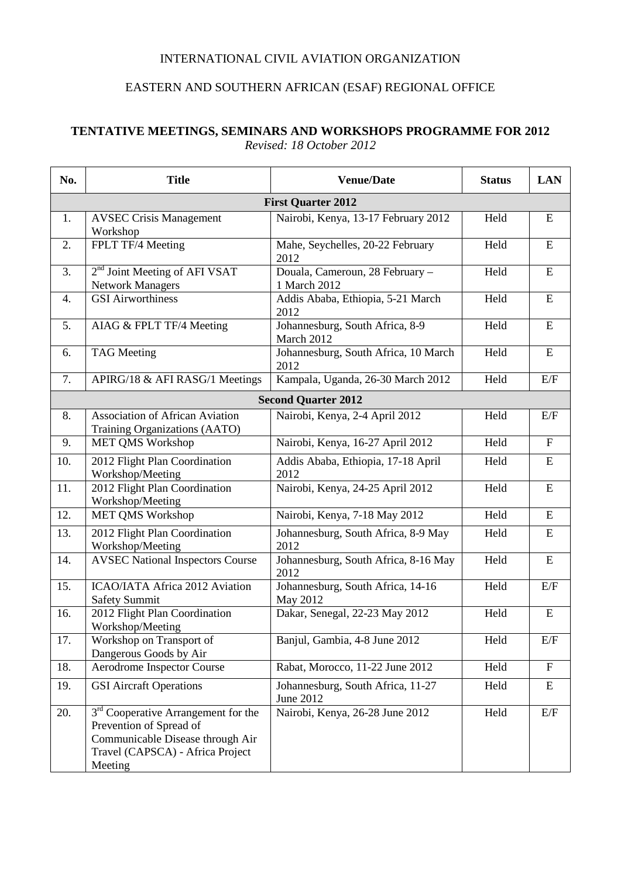## INTERNATIONAL CIVIL AVIATION ORGANIZATION

## EASTERN AND SOUTHERN AFRICAN (ESAF) REGIONAL OFFICE

## **TENTATIVE MEETINGS, SEMINARS AND WORKSHOPS PROGRAMME FOR 2012** *Revised: 18 October 2012*

| No.                        | <b>Title</b>                                                                                                                                                  | <b>Venue/Date</b>                               | <b>Status</b> | <b>LAN</b>                |  |  |  |
|----------------------------|---------------------------------------------------------------------------------------------------------------------------------------------------------------|-------------------------------------------------|---------------|---------------------------|--|--|--|
| <b>First Quarter 2012</b>  |                                                                                                                                                               |                                                 |               |                           |  |  |  |
| 1.                         | <b>AVSEC Crisis Management</b><br>Workshop                                                                                                                    | Nairobi, Kenya, 13-17 February 2012             | Held          | ${\bf E}$                 |  |  |  |
| 2.                         | FPLT TF/4 Meeting                                                                                                                                             | Mahe, Seychelles, 20-22 February<br>2012        | Held          | ${\bf E}$                 |  |  |  |
| 3.                         | 2 <sup>nd</sup> Joint Meeting of AFI VSAT<br><b>Network Managers</b>                                                                                          | Douala, Cameroun, 28 February -<br>1 March 2012 | Held          | ${\bf E}$                 |  |  |  |
| 4.                         | <b>GSI</b> Airworthiness                                                                                                                                      | Addis Ababa, Ethiopia, 5-21 March<br>2012       | Held          | ${\bf E}$                 |  |  |  |
| 5.                         | AIAG & FPLT TF/4 Meeting                                                                                                                                      | Johannesburg, South Africa, 8-9<br>March 2012   | Held          | ${\bf E}$                 |  |  |  |
| 6.                         | <b>TAG</b> Meeting                                                                                                                                            | Johannesburg, South Africa, 10 March<br>2012    | Held          | ${\bf E}$                 |  |  |  |
| 7.                         | APIRG/18 & AFI RASG/1 Meetings                                                                                                                                | Kampala, Uganda, 26-30 March 2012               | Held          | E/F                       |  |  |  |
| <b>Second Quarter 2012</b> |                                                                                                                                                               |                                                 |               |                           |  |  |  |
| 8.                         | <b>Association of African Aviation</b><br>Training Organizations (AATO)                                                                                       | Nairobi, Kenya, 2-4 April 2012                  | Held          | E/F                       |  |  |  |
| 9.                         | MET QMS Workshop                                                                                                                                              | Nairobi, Kenya, 16-27 April 2012                | Held          | $\boldsymbol{\mathrm{F}}$ |  |  |  |
| 10.                        | 2012 Flight Plan Coordination<br>Workshop/Meeting                                                                                                             | Addis Ababa, Ethiopia, 17-18 April<br>2012      | Held          | ${\bf E}$                 |  |  |  |
| 11.                        | 2012 Flight Plan Coordination<br>Workshop/Meeting                                                                                                             | Nairobi, Kenya, 24-25 April 2012                | Held          | ${\bf E}$                 |  |  |  |
| 12.                        | <b>MET QMS Workshop</b>                                                                                                                                       | Nairobi, Kenya, 7-18 May 2012                   | Held          | ${\bf E}$                 |  |  |  |
| 13.                        | 2012 Flight Plan Coordination<br>Workshop/Meeting                                                                                                             | Johannesburg, South Africa, 8-9 May<br>2012     | Held          | ${\bf E}$                 |  |  |  |
| 14.                        | <b>AVSEC National Inspectors Course</b>                                                                                                                       | Johannesburg, South Africa, 8-16 May<br>2012    | Held          | ${\bf E}$                 |  |  |  |
| 15.                        | ICAO/IATA Africa 2012 Aviation<br><b>Safety Summit</b>                                                                                                        | Johannesburg, South Africa, 14-16<br>May 2012   | Held          | E/F                       |  |  |  |
| 16.                        | 2012 Flight Plan Coordination<br>Workshop/Meeting                                                                                                             | Dakar, Senegal, 22-23 May 2012                  | Held          | ${\bf E}$                 |  |  |  |
| 17.                        | Workshop on Transport of<br>Dangerous Goods by Air                                                                                                            | Banjul, Gambia, 4-8 June 2012                   | Held          | E/F                       |  |  |  |
| 18.                        | <b>Aerodrome Inspector Course</b>                                                                                                                             | Rabat, Morocco, 11-22 June 2012                 | Held          | $\mathbf F$               |  |  |  |
| 19.                        | <b>GSI Aircraft Operations</b>                                                                                                                                | Johannesburg, South Africa, 11-27<br>June 2012  | Held          | E                         |  |  |  |
| 20.                        | 3 <sup>rd</sup> Cooperative Arrangement for the<br>Prevention of Spread of<br>Communicable Disease through Air<br>Travel (CAPSCA) - Africa Project<br>Meeting | Nairobi, Kenya, 26-28 June 2012                 | Held          | E/F                       |  |  |  |